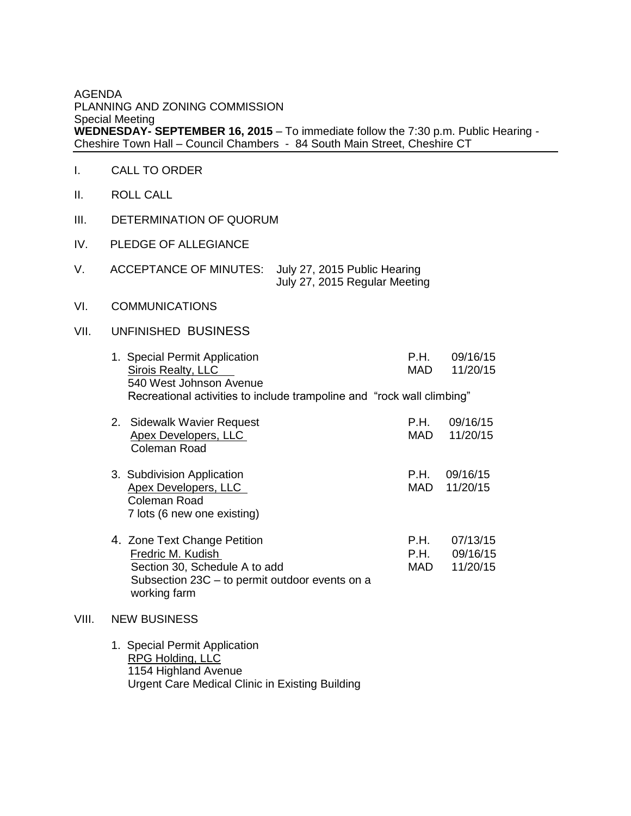## AGENDA PLANNING AND ZONING COMMISSION Special Meeting **WEDNESDAY- SEPTEMBER 16, 2015** – To immediate follow the 7:30 p.m. Public Hearing - Cheshire Town Hall – Council Chambers - 84 South Main Street, Cheshire CT

- I. CALL TO ORDER
- II. ROLL CALL
- III. DETERMINATION OF QUORUM
- IV. PLEDGE OF ALLEGIANCE
- V. ACCEPTANCE OF MINUTES: July 27, 2015 Public Hearing July 27, 2015 Regular Meeting
- VI. COMMUNICATIONS

VIII.

## VII. UNFINISHED BUSINESS

|       | 1. Special Permit Application<br>Sirois Realty, LLC<br>540 West Johnson Avenue                                                                       | P.H.<br>MAD         | 09/16/15<br>11/20/15             |  |
|-------|------------------------------------------------------------------------------------------------------------------------------------------------------|---------------------|----------------------------------|--|
|       | Recreational activities to include trampoline and "rock wall climbing"                                                                               |                     |                                  |  |
|       | 2. Sidewalk Wavier Request<br><b>Apex Developers, LLC</b><br><b>Coleman Road</b>                                                                     | P.H.<br>MAD         | 09/16/15<br>11/20/15             |  |
|       | 3. Subdivision Application<br><b>Apex Developers, LLC</b><br><b>Coleman Road</b><br>7 lots (6 new one existing)                                      | MAD                 | $P.H.$ 09/16/15<br>11/20/15      |  |
|       | 4. Zone Text Change Petition<br>Fredric M. Kudish<br>Section 30, Schedule A to add<br>Subsection 23C – to permit outdoor events on a<br>working farm | P.H.<br>P.H.<br>MAD | 07/13/15<br>09/16/15<br>11/20/15 |  |
| VIII. | <b>NEW BUSINESS</b>                                                                                                                                  |                     |                                  |  |
|       | 1. Special Permit Application                                                                                                                        |                     |                                  |  |

 RPG Holding, LLC 1154 Highland Avenue Urgent Care Medical Clinic in Existing Building